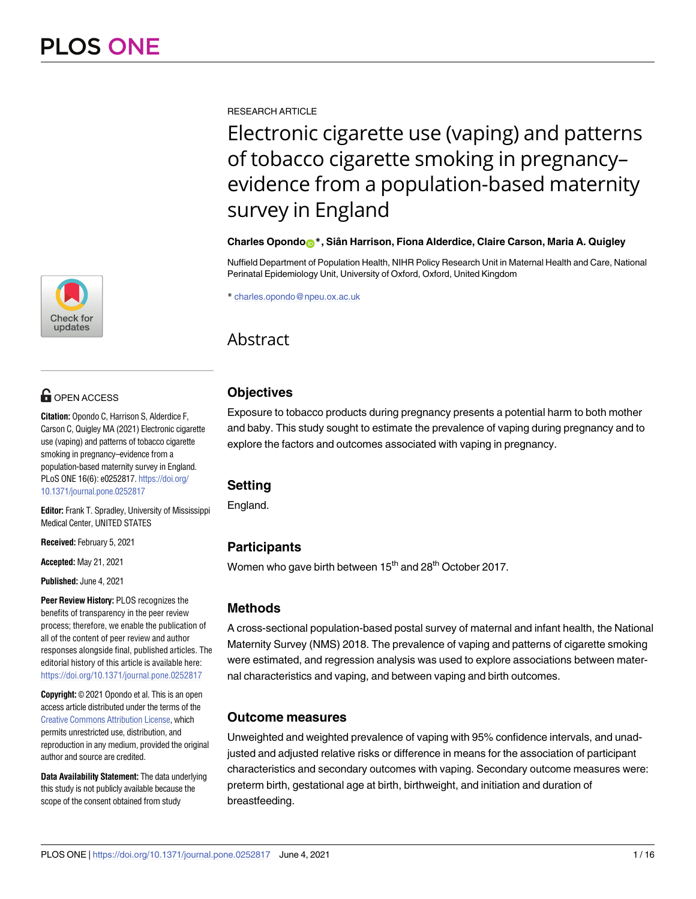[a1111111111](http://crossmark.crossref.org/dialog/?doi=10.1371/journal.pone.0252817&domain=pdf&date_stamp=2021-06-04) [a1111111111](http://crossmark.crossref.org/dialog/?doi=10.1371/journal.pone.0252817&domain=pdf&date_stamp=2021-06-04) [a1111111111](http://crossmark.crossref.org/dialog/?doi=10.1371/journal.pone.0252817&domain=pdf&date_stamp=2021-06-04) Check for updates

# **OPEN ACCESS**

**Citation:** Opondo C, Harrison S, Alderdice F, Carson C, Quigley MA (2021) Electronic cigarette use (vaping) and patterns of tobacco cigarette smoking in pregnancy–evidence from a population-based maternity survey in England. PLoS ONE 16(6): e0252817. [https://doi.org/](https://doi.org/10.1371/journal.pone.0252817) [10.1371/journal.pone.0252817](https://doi.org/10.1371/journal.pone.0252817)

**Editor:** Frank T. Spradley, University of Mississippi Medical Center, UNITED STATES

**Received:** February 5, 2021

**Accepted:** May 21, 2021

**Published:** June 4, 2021

**Peer Review History:** PLOS recognizes the benefits of transparency in the peer review process; therefore, we enable the publication of all of the content of peer review and author responses alongside final, published articles. The editorial history of this article is available here: <https://doi.org/10.1371/journal.pone.0252817>

**Copyright:** © 2021 Opondo et al. This is an open access article distributed under the terms of the Creative Commons [Attribution](http://creativecommons.org/licenses/by/4.0/) License, which permits unrestricted use, distribution, and reproduction in any medium, provided the original author and source are credited.

**Data Availability Statement:** The data underlying this study is not publicly available because the scope of the consent obtained from study

RESEARCH ARTICLE

Electronic cigarette use (vaping) and patterns of tobacco cigarette smoking in pregnancy– evidence from a population-based maternity survey in England

### **Charles Opond[oID](https://orcid.org/0000-0001-8155-4117)\*, Siaˆn Harrison, Fiona Alderdice, Claire Carson, Maria A. Quigley**

Nuffield Department of Population Health, NIHR Policy Research Unit in Maternal Health and Care, National Perinatal Epidemiology Unit, University of Oxford, Oxford, United Kingdom

\* charles.opondo@npeu.ox.ac.uk

# Abstract

## **Objectives**

Exposure to tobacco products during pregnancy presents a potential harm to both mother and baby. This study sought to estimate the prevalence of vaping during pregnancy and to explore the factors and outcomes associated with vaping in pregnancy.

### **Setting**

England.

## **Participants**

Women who gave birth between 15<sup>th</sup> and 28<sup>th</sup> October 2017.

### **Methods**

A cross-sectional population-based postal survey of maternal and infant health, the National Maternity Survey (NMS) 2018. The prevalence of vaping and patterns of cigarette smoking were estimated, and regression analysis was used to explore associations between maternal characteristics and vaping, and between vaping and birth outcomes.

### **Outcome measures**

Unweighted and weighted prevalence of vaping with 95% confidence intervals, and unadjusted and adjusted relative risks or difference in means for the association of participant characteristics and secondary outcomes with vaping. Secondary outcome measures were: preterm birth, gestational age at birth, birthweight, and initiation and duration of breastfeeding.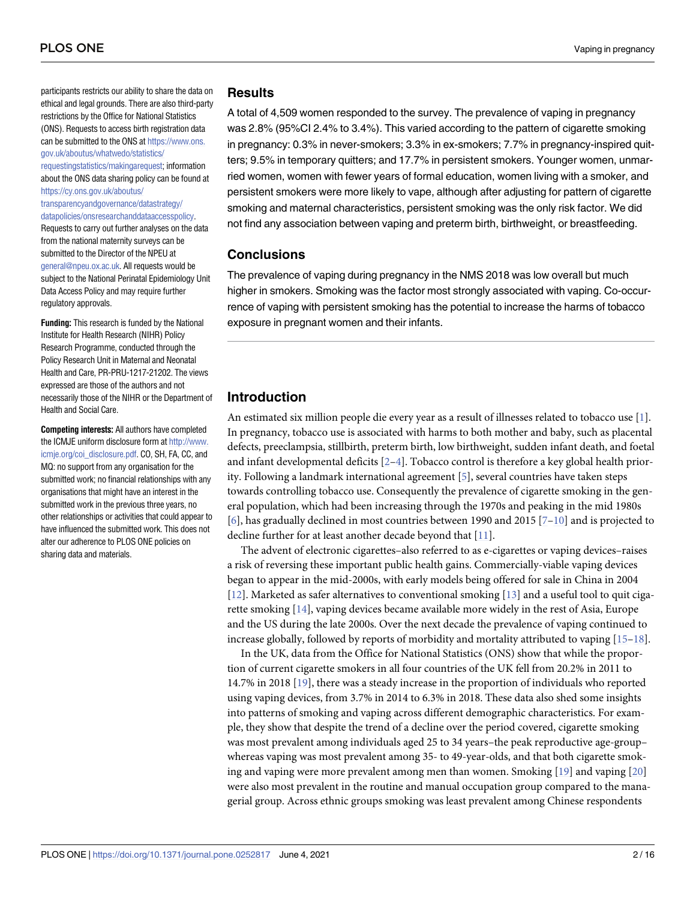<span id="page-1-0"></span>participants restricts our ability to share the data on ethical and legal grounds. There are also third-party restrictions by the Office for National Statistics (ONS). Requests to access birth registration data can be submitted to the ONS at [https://www.ons.](https://www.ons.gov.uk/aboutus/whatwedo/statistics/requestingstatistics/makingarequest) [gov.uk/aboutus/whatwedo/statistics/](https://www.ons.gov.uk/aboutus/whatwedo/statistics/requestingstatistics/makingarequest) [requestingstatistics/makingarequest;](https://www.ons.gov.uk/aboutus/whatwedo/statistics/requestingstatistics/makingarequest) information about the ONS data sharing policy can be found at [https://cy.ons.gov.uk/aboutus/](https://cy.ons.gov.uk/aboutus/transparencyandgovernance/datastrategy/datapolicies/onsresearchanddataaccesspolicy) [transparencyandgovernance/datastrategy/](https://cy.ons.gov.uk/aboutus/transparencyandgovernance/datastrategy/datapolicies/onsresearchanddataaccesspolicy) [datapolicies/onsresearchanddataaccesspolicy.](https://cy.ons.gov.uk/aboutus/transparencyandgovernance/datastrategy/datapolicies/onsresearchanddataaccesspolicy) Requests to carry out further analyses on the data from the national maternity surveys can be submitted to the Director of the NPEU at [general@npeu.ox.ac.uk](mailto:general@npeu.ox.ac.uk). All requests would be subject to the National Perinatal Epidemiology Unit Data Access Policy and may require further regulatory approvals.

**Funding:** This research is funded by the National Institute for Health Research (NIHR) Policy Research Programme, conducted through the Policy Research Unit in Maternal and Neonatal Health and Care, PR-PRU-1217-21202. The views expressed are those of the authors and not necessarily those of the NIHR or the Department of Health and Social Care.

**Competing interests:** All authors have completed the ICMJE uniform disclosure form at [http://www.](http://www.icmje.org/coi_disclosure.pdf) [icmje.org/coi\\_disclosure.pdf](http://www.icmje.org/coi_disclosure.pdf). CO, SH, FA, CC, and MQ: no support from any organisation for the submitted work; no financial relationships with any organisations that might have an interest in the submitted work in the previous three years, no other relationships or activities that could appear to have influenced the submitted work. This does not alter our adherence to PLOS ONE policies on sharing data and materials.

#### **Results**

A total of 4,509 women responded to the survey. The prevalence of vaping in pregnancy was 2.8% (95%CI 2.4% to 3.4%). This varied according to the pattern of cigarette smoking in pregnancy: 0.3% in never-smokers; 3.3% in ex-smokers; 7.7% in pregnancy-inspired quitters; 9.5% in temporary quitters; and 17.7% in persistent smokers. Younger women, unmarried women, women with fewer years of formal education, women living with a smoker, and persistent smokers were more likely to vape, although after adjusting for pattern of cigarette smoking and maternal characteristics, persistent smoking was the only risk factor. We did not find any association between vaping and preterm birth, birthweight, or breastfeeding.

### **Conclusions**

The prevalence of vaping during pregnancy in the NMS 2018 was low overall but much higher in smokers. Smoking was the factor most strongly associated with vaping. Co-occurrence of vaping with persistent smoking has the potential to increase the harms of tobacco exposure in pregnant women and their infants.

### **Introduction**

An estimated six million people die every year as a result of illnesses related to tobacco use [[1](#page-12-0)]. In pregnancy, tobacco use is associated with harms to both mother and baby, such as placental defects, preeclampsia, stillbirth, preterm birth, low birthweight, sudden infant death, and foetal and infant developmental deficits  $[2-4]$ . Tobacco control is therefore a key global health priority. Following a landmark international agreement [\[5\]](#page-13-0), several countries have taken steps towards controlling tobacco use. Consequently the prevalence of cigarette smoking in the general population, which had been increasing through the 1970s and peaking in the mid 1980s [\[6](#page-13-0)], has gradually declined in most countries between 1990 and 2015 [\[7–10\]](#page-13-0) and is projected to decline further for at least another decade beyond that [\[11\]](#page-13-0).

The advent of electronic cigarettes–also referred to as e-cigarettes or vaping devices–raises a risk of reversing these important public health gains. Commercially-viable vaping devices began to appear in the mid-2000s, with early models being offered for sale in China in 2004 [\[12\]](#page-13-0). Marketed as safer alternatives to conventional smoking [\[13\]](#page-13-0) and a useful tool to quit cigarette smoking [[14](#page-13-0)], vaping devices became available more widely in the rest of Asia, Europe and the US during the late 2000s. Over the next decade the prevalence of vaping continued to increase globally, followed by reports of morbidity and mortality attributed to vaping [[15–18\]](#page-13-0).

In the UK, data from the Office for National Statistics (ONS) show that while the proportion of current cigarette smokers in all four countries of the UK fell from 20.2% in 2011 to 14.7% in 2018 [\[19\]](#page-13-0), there was a steady increase in the proportion of individuals who reported using vaping devices, from 3.7% in 2014 to 6.3% in 2018. These data also shed some insights into patterns of smoking and vaping across different demographic characteristics. For example, they show that despite the trend of a decline over the period covered, cigarette smoking was most prevalent among individuals aged 25 to 34 years–the peak reproductive age-group– whereas vaping was most prevalent among 35- to 49-year-olds, and that both cigarette smoking and vaping were more prevalent among men than women. Smoking [\[19\]](#page-13-0) and vaping [\[20\]](#page-13-0) were also most prevalent in the routine and manual occupation group compared to the managerial group. Across ethnic groups smoking was least prevalent among Chinese respondents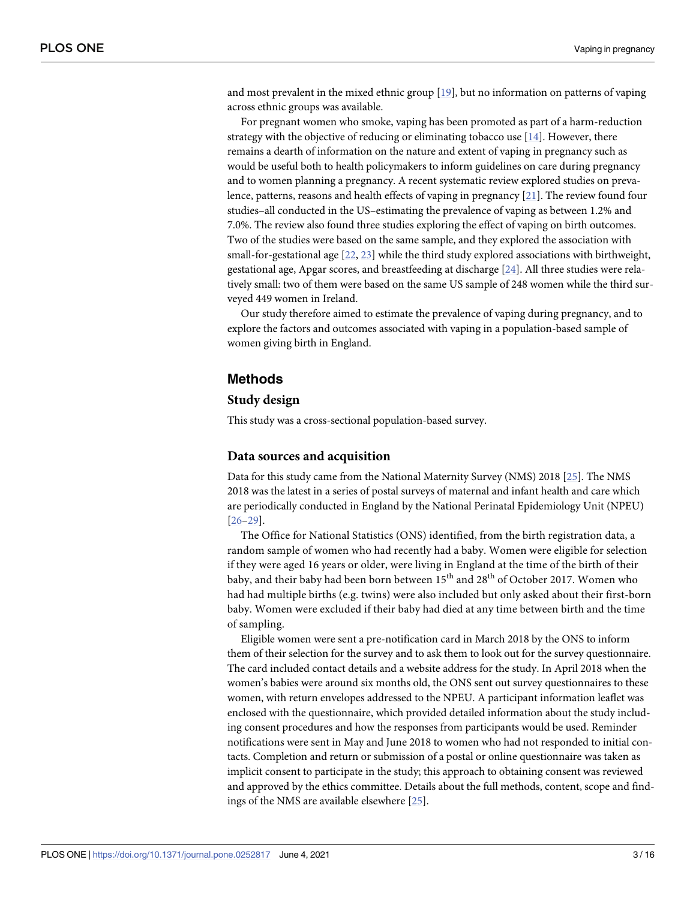<span id="page-2-0"></span>and most prevalent in the mixed ethnic group [[19](#page-13-0)], but no information on patterns of vaping across ethnic groups was available.

For pregnant women who smoke, vaping has been promoted as part of a harm-reduction strategy with the objective of reducing or eliminating tobacco use  $[14]$  $[14]$  $[14]$ . However, there remains a dearth of information on the nature and extent of vaping in pregnancy such as would be useful both to health policymakers to inform guidelines on care during pregnancy and to women planning a pregnancy. A recent systematic review explored studies on prevalence, patterns, reasons and health effects of vaping in pregnancy [[21](#page-13-0)]. The review found four studies–all conducted in the US–estimating the prevalence of vaping as between 1.2% and 7.0%. The review also found three studies exploring the effect of vaping on birth outcomes. Two of the studies were based on the same sample, and they explored the association with small-for-gestational age [[22](#page-13-0), [23](#page-13-0)] while the third study explored associations with birthweight, gestational age, Apgar scores, and breastfeeding at discharge [[24](#page-14-0)]. All three studies were relatively small: two of them were based on the same US sample of 248 women while the third surveyed 449 women in Ireland.

Our study therefore aimed to estimate the prevalence of vaping during pregnancy, and to explore the factors and outcomes associated with vaping in a population-based sample of women giving birth in England.

#### **Methods**

#### **Study design**

This study was a cross-sectional population-based survey.

#### **Data sources and acquisition**

Data for this study came from the National Maternity Survey (NMS) 2018 [[25](#page-14-0)]. The NMS 2018 was the latest in a series of postal surveys of maternal and infant health and care which are periodically conducted in England by the National Perinatal Epidemiology Unit (NPEU) [\[26–29\]](#page-14-0).

The Office for National Statistics (ONS) identified, from the birth registration data, a random sample of women who had recently had a baby. Women were eligible for selection if they were aged 16 years or older, were living in England at the time of the birth of their baby, and their baby had been born between  $15<sup>th</sup>$  and  $28<sup>th</sup>$  of October 2017. Women who had had multiple births (e.g. twins) were also included but only asked about their first-born baby. Women were excluded if their baby had died at any time between birth and the time of sampling.

Eligible women were sent a pre-notification card in March 2018 by the ONS to inform them of their selection for the survey and to ask them to look out for the survey questionnaire. The card included contact details and a website address for the study. In April 2018 when the women's babies were around six months old, the ONS sent out survey questionnaires to these women, with return envelopes addressed to the NPEU. A participant information leaflet was enclosed with the questionnaire, which provided detailed information about the study including consent procedures and how the responses from participants would be used. Reminder notifications were sent in May and June 2018 to women who had not responded to initial contacts. Completion and return or submission of a postal or online questionnaire was taken as implicit consent to participate in the study; this approach to obtaining consent was reviewed and approved by the ethics committee. Details about the full methods, content, scope and findings of the NMS are available elsewhere [\[25\]](#page-14-0).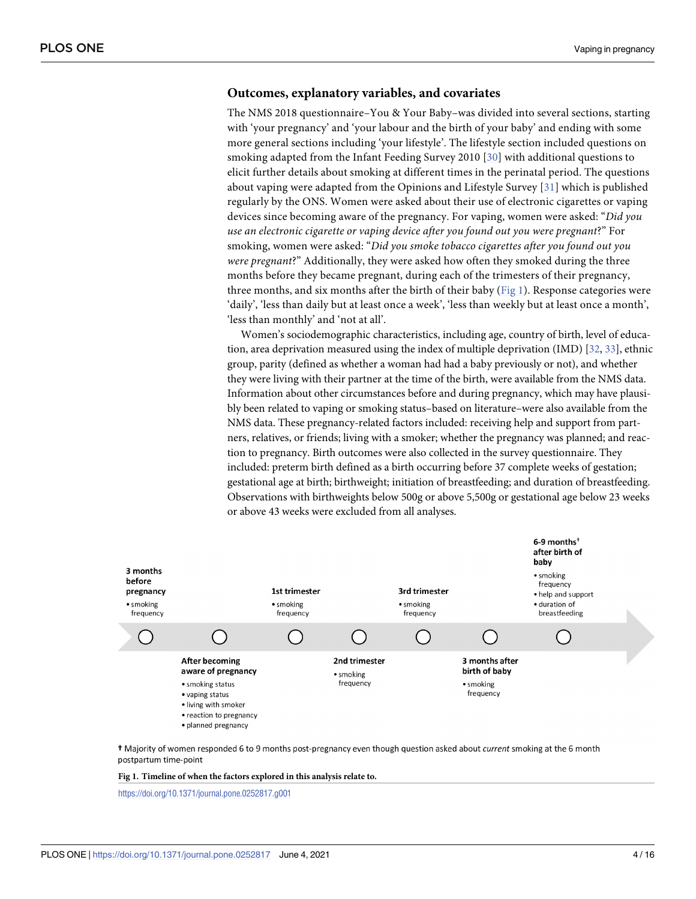#### <span id="page-3-0"></span>**Outcomes, explanatory variables, and covariates**

The NMS 2018 questionnaire–You & Your Baby–was divided into several sections, starting with 'your pregnancy' and 'your labour and the birth of your baby' and ending with some more general sections including 'your lifestyle'. The lifestyle section included questions on smoking adapted from the Infant Feeding Survey 2010 [\[30](#page-14-0)] with additional questions to elicit further details about smoking at different times in the perinatal period. The questions about vaping were adapted from the Opinions and Lifestyle Survey [[31](#page-14-0)] which is published regularly by the ONS. Women were asked about their use of electronic cigarettes or vaping devices since becoming aware of the pregnancy. For vaping, women were asked: "*Did you use an electronic cigarette or vaping device after you found out you were pregnant*?" For smoking, women were asked: "*Did you smoke tobacco cigarettes after you found out you were pregnant*?" Additionally, they were asked how often they smoked during the three months before they became pregnant, during each of the trimesters of their pregnancy, three months, and six months after the birth of their baby (Fig 1). Response categories were 'daily', 'less than daily but at least once a week', 'less than weekly but at least once a month', 'less than monthly' and 'not at all'.

Women's sociodemographic characteristics, including age, country of birth, level of educa-tion, area deprivation measured using the index of multiple deprivation (IMD) [\[32,](#page-14-0) [33\]](#page-14-0), ethnic group, parity (defined as whether a woman had had a baby previously or not), and whether they were living with their partner at the time of the birth, were available from the NMS data. Information about other circumstances before and during pregnancy, which may have plausibly been related to vaping or smoking status–based on literature–were also available from the NMS data. These pregnancy-related factors included: receiving help and support from partners, relatives, or friends; living with a smoker; whether the pregnancy was planned; and reaction to pregnancy. Birth outcomes were also collected in the survey questionnaire. They included: preterm birth defined as a birth occurring before 37 complete weeks of gestation; gestational age at birth; birthweight; initiation of breastfeeding; and duration of breastfeeding. Observations with birthweights below 500g or above 5,500g or gestational age below 23 weeks or above 43 weeks were excluded from all analyses.



t Majority of women responded 6 to 9 months post-pregnancy even though question asked about current smoking at the 6 month postpartum time-point

**Fig 1. Timeline of when the factors explored in this analysis relate to.**

<https://doi.org/10.1371/journal.pone.0252817.g001>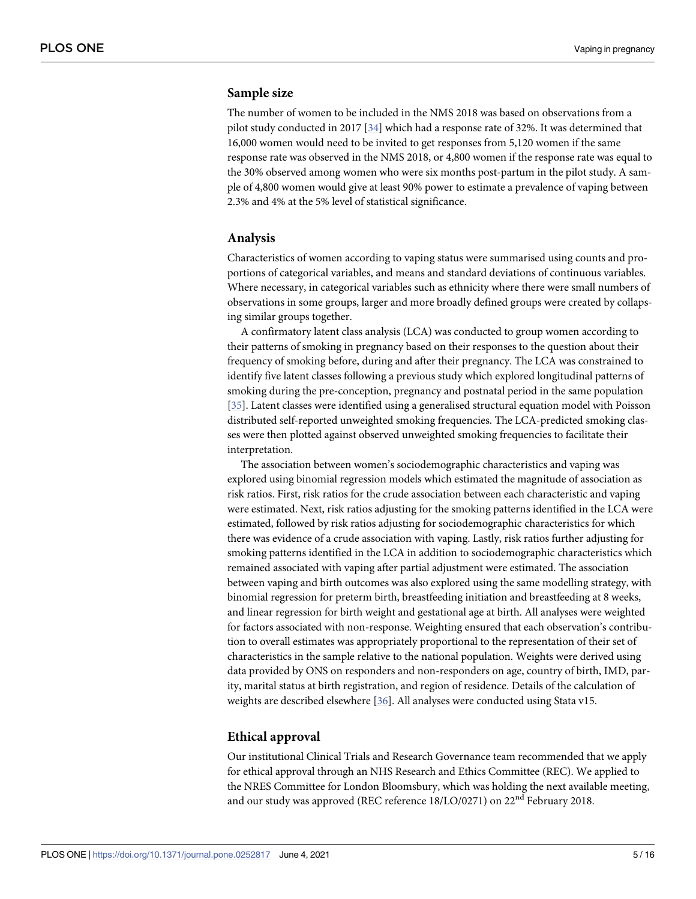#### <span id="page-4-0"></span>**Sample size**

The number of women to be included in the NMS 2018 was based on observations from a pilot study conducted in 2017 [[34](#page-14-0)] which had a response rate of 32%. It was determined that 16,000 women would need to be invited to get responses from 5,120 women if the same response rate was observed in the NMS 2018, or 4,800 women if the response rate was equal to the 30% observed among women who were six months post-partum in the pilot study. A sample of 4,800 women would give at least 90% power to estimate a prevalence of vaping between 2.3% and 4% at the 5% level of statistical significance.

#### **Analysis**

Characteristics of women according to vaping status were summarised using counts and proportions of categorical variables, and means and standard deviations of continuous variables. Where necessary, in categorical variables such as ethnicity where there were small numbers of observations in some groups, larger and more broadly defined groups were created by collapsing similar groups together.

A confirmatory latent class analysis (LCA) was conducted to group women according to their patterns of smoking in pregnancy based on their responses to the question about their frequency of smoking before, during and after their pregnancy. The LCA was constrained to identify five latent classes following a previous study which explored longitudinal patterns of smoking during the pre-conception, pregnancy and postnatal period in the same population [\[35\]](#page-14-0). Latent classes were identified using a generalised structural equation model with Poisson distributed self-reported unweighted smoking frequencies. The LCA-predicted smoking classes were then plotted against observed unweighted smoking frequencies to facilitate their interpretation.

The association between women's sociodemographic characteristics and vaping was explored using binomial regression models which estimated the magnitude of association as risk ratios. First, risk ratios for the crude association between each characteristic and vaping were estimated. Next, risk ratios adjusting for the smoking patterns identified in the LCA were estimated, followed by risk ratios adjusting for sociodemographic characteristics for which there was evidence of a crude association with vaping. Lastly, risk ratios further adjusting for smoking patterns identified in the LCA in addition to sociodemographic characteristics which remained associated with vaping after partial adjustment were estimated. The association between vaping and birth outcomes was also explored using the same modelling strategy, with binomial regression for preterm birth, breastfeeding initiation and breastfeeding at 8 weeks, and linear regression for birth weight and gestational age at birth. All analyses were weighted for factors associated with non-response. Weighting ensured that each observation's contribution to overall estimates was appropriately proportional to the representation of their set of characteristics in the sample relative to the national population. Weights were derived using data provided by ONS on responders and non-responders on age, country of birth, IMD, parity, marital status at birth registration, and region of residence. Details of the calculation of weights are described elsewhere [[36](#page-14-0)]. All analyses were conducted using Stata v15.

#### **Ethical approval**

Our institutional Clinical Trials and Research Governance team recommended that we apply for ethical approval through an NHS Research and Ethics Committee (REC). We applied to the NRES Committee for London Bloomsbury, which was holding the next available meeting, and our study was approved (REC reference 18/LO/0271) on 22<sup>nd</sup> February 2018.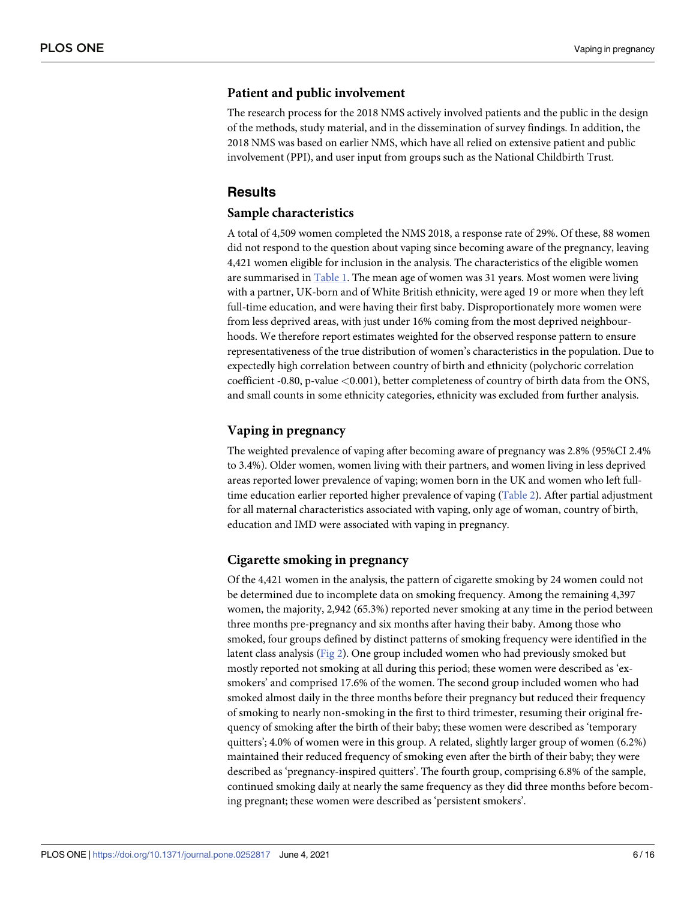#### <span id="page-5-0"></span>**Patient and public involvement**

The research process for the 2018 NMS actively involved patients and the public in the design of the methods, study material, and in the dissemination of survey findings. In addition, the 2018 NMS was based on earlier NMS, which have all relied on extensive patient and public involvement (PPI), and user input from groups such as the National Childbirth Trust.

#### **Results**

#### **Sample characteristics**

A total of 4,509 women completed the NMS 2018, a response rate of 29%. Of these, 88 women did not respond to the question about vaping since becoming aware of the pregnancy, leaving 4,421 women eligible for inclusion in the analysis. The characteristics of the eligible women are summarised in [Table](#page-6-0) 1. The mean age of women was 31 years. Most women were living with a partner, UK-born and of White British ethnicity, were aged 19 or more when they left full-time education, and were having their first baby. Disproportionately more women were from less deprived areas, with just under 16% coming from the most deprived neighbourhoods. We therefore report estimates weighted for the observed response pattern to ensure representativeness of the true distribution of women's characteristics in the population. Due to expectedly high correlation between country of birth and ethnicity (polychoric correlation coefficient -0.80, p-value *<*0.001), better completeness of country of birth data from the ONS, and small counts in some ethnicity categories, ethnicity was excluded from further analysis.

#### **Vaping in pregnancy**

The weighted prevalence of vaping after becoming aware of pregnancy was 2.8% (95%CI 2.4% to 3.4%). Older women, women living with their partners, and women living in less deprived areas reported lower prevalence of vaping; women born in the UK and women who left fulltime education earlier reported higher prevalence of vaping ([Table](#page-7-0) 2). After partial adjustment for all maternal characteristics associated with vaping, only age of woman, country of birth, education and IMD were associated with vaping in pregnancy.

#### **Cigarette smoking in pregnancy**

Of the 4,421 women in the analysis, the pattern of cigarette smoking by 24 women could not be determined due to incomplete data on smoking frequency. Among the remaining 4,397 women, the majority, 2,942 (65.3%) reported never smoking at any time in the period between three months pre-pregnancy and six months after having their baby. Among those who smoked, four groups defined by distinct patterns of smoking frequency were identified in the latent class analysis ([Fig](#page-8-0) 2). One group included women who had previously smoked but mostly reported not smoking at all during this period; these women were described as 'exsmokers' and comprised 17.6% of the women. The second group included women who had smoked almost daily in the three months before their pregnancy but reduced their frequency of smoking to nearly non-smoking in the first to third trimester, resuming their original frequency of smoking after the birth of their baby; these women were described as 'temporary quitters'; 4.0% of women were in this group. A related, slightly larger group of women (6.2%) maintained their reduced frequency of smoking even after the birth of their baby; they were described as 'pregnancy-inspired quitters'. The fourth group, comprising 6.8% of the sample, continued smoking daily at nearly the same frequency as they did three months before becoming pregnant; these women were described as 'persistent smokers'.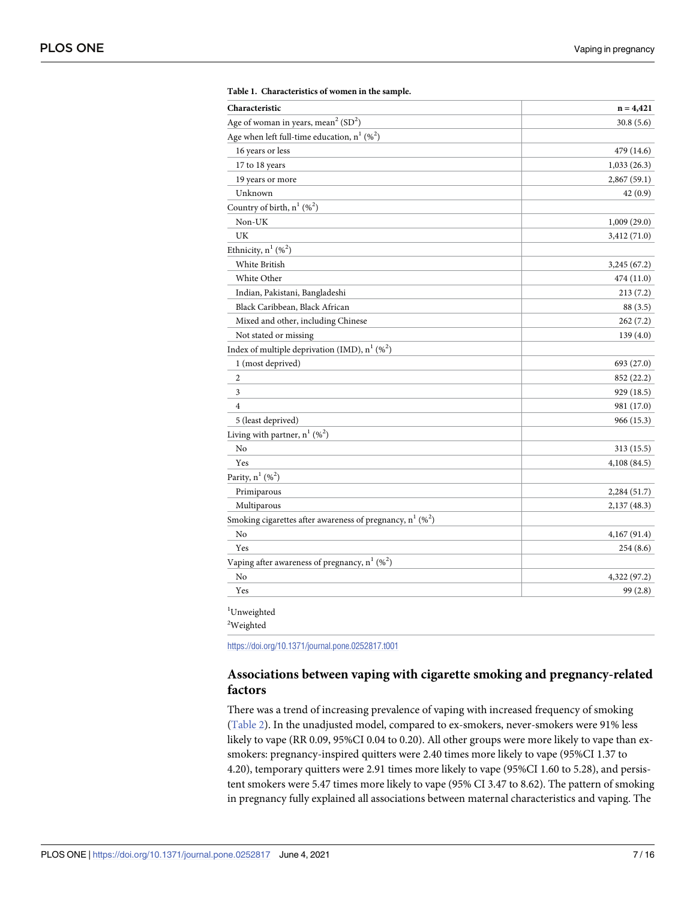<span id="page-6-0"></span>

| Characteristic                                                           | $n = 4,421$  |
|--------------------------------------------------------------------------|--------------|
| Age of woman in years, mean <sup>2</sup> (SD <sup>2</sup> )              | 30.8(5.6)    |
| Age when left full-time education, $n^1$ (% <sup>2</sup> )               |              |
| 16 years or less                                                         | 479 (14.6)   |
| 17 to 18 years                                                           | 1,033(26.3)  |
| 19 years or more                                                         | 2,867 (59.1) |
| Unknown                                                                  | 42(0.9)      |
| Country of birth, $n^1$ (% <sup>2</sup> )                                |              |
| Non-UK                                                                   | 1,009(29.0)  |
| UK                                                                       | 3,412 (71.0) |
| Ethnicity, $n^1$ (% <sup>2</sup> )                                       |              |
| White British                                                            | 3,245 (67.2) |
| White Other                                                              | 474 (11.0)   |
| Indian, Pakistani, Bangladeshi                                           | 213(7.2)     |
| Black Caribbean, Black African                                           | 88 (3.5)     |
| Mixed and other, including Chinese                                       | 262(7.2)     |
| Not stated or missing                                                    | 139(4.0)     |
| Index of multiple deprivation (IMD), $n^1$ (% <sup>2</sup> )             |              |
| 1 (most deprived)                                                        | 693 (27.0)   |
| $\overline{2}$                                                           | 852 (22.2)   |
| 3                                                                        | 929 (18.5)   |
| $\overline{4}$                                                           | 981 (17.0)   |
| 5 (least deprived)                                                       | 966 (15.3)   |
| Living with partner, $n^1$ (% <sup>2</sup> )                             |              |
| No                                                                       | 313 (15.5)   |
| Yes                                                                      | 4,108 (84.5) |
| Parity, $n^1$ (% <sup>2</sup> )                                          |              |
| Primiparous                                                              | 2,284 (51.7) |
| Multiparous                                                              | 2,137 (48.3) |
| Smoking cigarettes after awareness of pregnancy, $n^1$ (% <sup>2</sup> ) |              |
| No                                                                       | 4,167 (91.4) |
| Yes                                                                      | 254(8.6)     |
| Vaping after awareness of pregnancy, $n^1$ (% <sup>2</sup> )             |              |
| No                                                                       | 4,322 (97.2) |
| Yes                                                                      | 99(2.8)      |

| Table 1. Characteristics of women in the sample. |  |  |  |  |
|--------------------------------------------------|--|--|--|--|
|--------------------------------------------------|--|--|--|--|

<https://doi.org/10.1371/journal.pone.0252817.t001>

### **Associations between vaping with cigarette smoking and pregnancy-related factors**

There was a trend of increasing prevalence of vaping with increased frequency of smoking [\(Table](#page-7-0) 2). In the unadjusted model, compared to ex-smokers, never-smokers were 91% less likely to vape (RR 0.09, 95%CI 0.04 to 0.20). All other groups were more likely to vape than exsmokers: pregnancy-inspired quitters were 2.40 times more likely to vape (95%CI 1.37 to 4.20), temporary quitters were 2.91 times more likely to vape (95%CI 1.60 to 5.28), and persistent smokers were 5.47 times more likely to vape (95% CI 3.47 to 8.62). The pattern of smoking in pregnancy fully explained all associations between maternal characteristics and vaping. The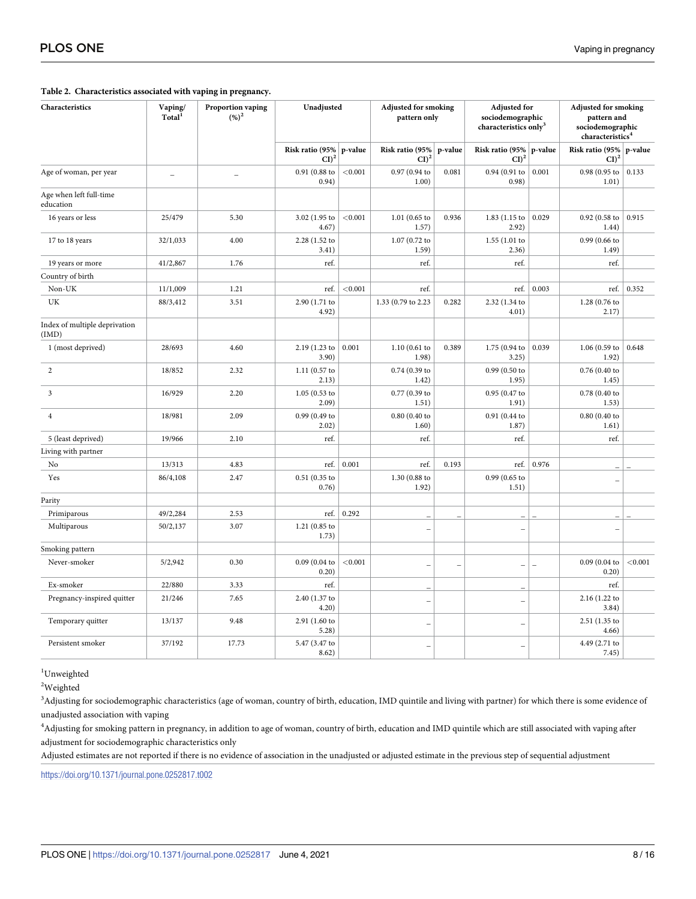#### <span id="page-7-0"></span>**[Table](#page-5-0) 2. Characteristics associated with vaping in pregnancy.**

| Characteristics                        | Vaping/<br>Total <sup>1</sup> | Proportion vaping<br>$(%)^2$ | Unadjusted                 |         | <b>Adjusted for smoking</b><br>pattern only |                          | <b>Adjusted for</b><br>sociodemographic<br>characteristics only <sup>3</sup> |         | <b>Adjusted for smoking</b><br>pattern and<br>sociodemographic<br>characteristics <sup>4</sup> |         |
|----------------------------------------|-------------------------------|------------------------------|----------------------------|---------|---------------------------------------------|--------------------------|------------------------------------------------------------------------------|---------|------------------------------------------------------------------------------------------------|---------|
|                                        |                               |                              | Risk ratio (95%<br>$CI)^2$ | p-value | Risk ratio (95%<br>$\text{CI}$ <sup>2</sup> | p-value                  | Risk ratio (95%<br>$\text{CI}$ <sup>2</sup>                                  | p-value | Risk ratio (95%<br>$\text{CI}$ <sup>2</sup>                                                    | p-value |
| Age of woman, per year                 | $\overline{\phantom{a}}$      | $\overline{\phantom{0}}$     | 0.91 (0.88 to<br>0.94)     | < 0.001 | 0.97 (0.94 to<br>1.00)                      | 0.081                    | 0.94 (0.91 to<br>0.98)                                                       | 0.001   | 0.98 (0.95 to<br>1.01)                                                                         | 0.133   |
| Age when left full-time<br>education   |                               |                              |                            |         |                                             |                          |                                                                              |         |                                                                                                |         |
| 16 years or less                       | 25/479                        | 5.30                         | 3.02 (1.95 to<br>4.67)     | < 0.001 | $1.01$ (0.65 to<br>1.57)                    | 0.936                    | 1.83 (1.15 to<br>2.92)                                                       | 0.029   | 0.92(0.58)<br>1.44)                                                                            | 0.915   |
| 17 to 18 years                         | 32/1,033                      | 4.00                         | 2.28 (1.52 to<br>3.41)     |         | 1.07 (0.72 to<br>1.59)                      |                          | 1.55(1.01)<br>2.36)                                                          |         | 0.99 (0.66 to<br>1.49)                                                                         |         |
| 19 years or more                       | 41/2,867                      | 1.76                         | ref.                       |         | ref.                                        |                          | ref.                                                                         |         | ref.                                                                                           |         |
| Country of birth                       |                               |                              |                            |         |                                             |                          |                                                                              |         |                                                                                                |         |
| Non-UK                                 | 11/1,009                      | 1.21                         | ref.                       | < 0.001 | ref.                                        |                          | ref.                                                                         | 0.003   | ref.                                                                                           | 0.352   |
| UK                                     | 88/3,412                      | 3.51                         | 2.90 (1.71 to<br>4.92)     |         | 1.33 (0.79 to 2.23                          | 0.282                    | 2.32 (1.34 to<br>4.01)                                                       |         | 1.28 (0.76 to<br>2.17)                                                                         |         |
| Index of multiple deprivation<br>(IMD) |                               |                              |                            |         |                                             |                          |                                                                              |         |                                                                                                |         |
| 1 (most deprived)                      | 28/693                        | 4.60                         | 2.19 (1.23 to<br>3.90)     | 0.001   | 1.10(0.61)<br>1.98)                         | 0.389                    | 1.75 (0.94 to<br>3.25)                                                       | 0.039   | $1.06(0.59)$ to<br>1.92)                                                                       | 0.648   |
| $\overline{2}$                         | 18/852                        | 2.32                         | $1.11(0.57)$ to<br>2.13)   |         | 0.74 (0.39 to<br>1.42)                      |                          | 0.99 (0.50 to<br>1.95)                                                       |         | 0.76(0.40)<br>1.45)                                                                            |         |
| 3                                      | 16/929                        | 2.20                         | $1.05(0.53)$ to<br>2.09)   |         | 0.77 (0.39 to<br>1.51)                      |                          | 0.95 (0.47 to<br>1.91)                                                       |         | 0.78(0.40)<br>1.53)                                                                            |         |
| 4                                      | 18/981                        | 2.09                         | 0.99 (0.49 to<br>2.02)     |         | $0.80$ (0.40 to<br>1.60)                    |                          | 0.91 (0.44 to<br>1.87)                                                       |         | 0.80(0.40)<br>1.61)                                                                            |         |
| 5 (least deprived)                     | 19/966                        | 2.10                         | ref.                       |         | ref.                                        |                          | ref.                                                                         |         | ref.                                                                                           |         |
| Living with partner                    |                               |                              |                            |         |                                             |                          |                                                                              |         |                                                                                                |         |
| No                                     | 13/313                        | 4.83                         | ref.                       | 0.001   | ref.                                        | 0.193                    | ref.                                                                         | 0.976   |                                                                                                |         |
| Yes                                    | 86/4,108                      | 2.47                         | 0.51(0.35)<br>0.76)        |         | 1.30 (0.88 to<br>1.92)                      |                          | 0.99 (0.65 to<br>1.51)                                                       |         |                                                                                                |         |
| Parity                                 |                               |                              |                            |         |                                             |                          |                                                                              |         |                                                                                                |         |
| Primiparous                            | 49/2,284                      | 2.53                         | ref.                       | 0.292   |                                             |                          |                                                                              |         |                                                                                                |         |
| Multiparous                            | 50/2,137                      | 3.07                         | 1.21(0.85)<br>1.73)        |         |                                             |                          |                                                                              |         |                                                                                                |         |
| Smoking pattern                        |                               |                              |                            |         |                                             |                          |                                                                              |         |                                                                                                |         |
| Never-smoker                           | 5/2,942                       | 0.30                         | 0.09(0.04)<br>0.20)        | < 0.001 |                                             | $\overline{\phantom{0}}$ | $\overline{\phantom{0}}$                                                     | L,      | 0.09(0.04)<br>0.20)                                                                            | < 0.001 |
| Ex-smoker                              | 22/880                        | 3.33                         | ref.                       |         |                                             |                          |                                                                              |         | ref.                                                                                           |         |
| Pregnancy-inspired quitter             | 21/246                        | 7.65                         | 2.40 (1.37 to<br>4.20)     |         |                                             |                          |                                                                              |         | 2.16 (1.22 to<br>3.84)                                                                         |         |
| Temporary quitter                      | 13/137                        | 9.48                         | $2.91(1.60)$ to<br>5.28)   |         |                                             |                          |                                                                              |         | 2.51 (1.35 to<br>4.66)                                                                         |         |
| Persistent smoker                      | 37/192                        | 17.73                        | 5.47 (3.47 to<br>8.62)     |         |                                             |                          |                                                                              |         | 4.49 (2.71 to<br>7.45)                                                                         |         |

<sup>1</sup>Unweighted

2 Weighted

<sup>3</sup>Adjusting for sociodemographic characteristics (age of woman, country of birth, education, IMD quintile and living with partner) for which there is some evidence of unadjusted association with vaping

4 Adjusting for smoking pattern in pregnancy, in addition to age of woman, country of birth, education and IMD quintile which are still associated with vaping after adjustment for sociodemographic characteristics only

Adjusted estimates are not reported if there is no evidence of association in the unadjusted or adjusted estimate in the previous step of sequential adjustment

<https://doi.org/10.1371/journal.pone.0252817.t002>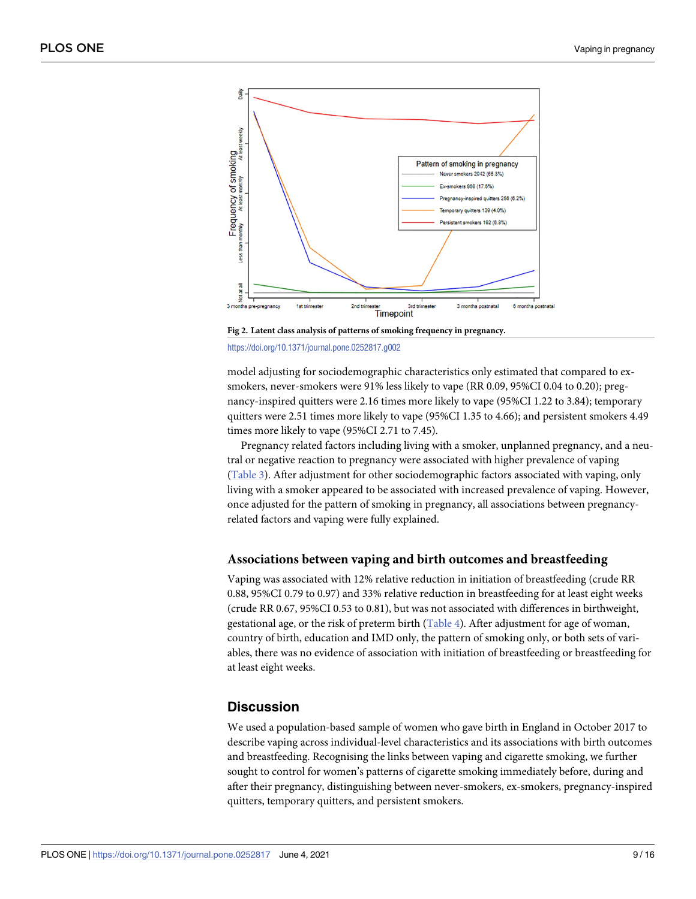<span id="page-8-0"></span>

**[Fig](#page-5-0) 2. Latent class analysis of patterns of smoking frequency in pregnancy.** <https://doi.org/10.1371/journal.pone.0252817.g002>

model adjusting for sociodemographic characteristics only estimated that compared to exsmokers, never-smokers were 91% less likely to vape (RR 0.09, 95%CI 0.04 to 0.20); pregnancy-inspired quitters were 2.16 times more likely to vape (95%CI 1.22 to 3.84); temporary quitters were 2.51 times more likely to vape (95%CI 1.35 to 4.66); and persistent smokers 4.49 times more likely to vape (95%CI 2.71 to 7.45).

Pregnancy related factors including living with a smoker, unplanned pregnancy, and a neutral or negative reaction to pregnancy were associated with higher prevalence of vaping [\(Table](#page-9-0) 3). After adjustment for other sociodemographic factors associated with vaping, only living with a smoker appeared to be associated with increased prevalence of vaping. However, once adjusted for the pattern of smoking in pregnancy, all associations between pregnancyrelated factors and vaping were fully explained.

#### **Associations between vaping and birth outcomes and breastfeeding**

Vaping was associated with 12% relative reduction in initiation of breastfeeding (crude RR 0.88, 95%CI 0.79 to 0.97) and 33% relative reduction in breastfeeding for at least eight weeks (crude RR 0.67, 95%CI 0.53 to 0.81), but was not associated with differences in birthweight, gestational age, or the risk of preterm birth [\(Table](#page-9-0) 4). After adjustment for age of woman, country of birth, education and IMD only, the pattern of smoking only, or both sets of variables, there was no evidence of association with initiation of breastfeeding or breastfeeding for at least eight weeks.

#### **Discussion**

We used a population-based sample of women who gave birth in England in October 2017 to describe vaping across individual-level characteristics and its associations with birth outcomes and breastfeeding. Recognising the links between vaping and cigarette smoking, we further sought to control for women's patterns of cigarette smoking immediately before, during and after their pregnancy, distinguishing between never-smokers, ex-smokers, pregnancy-inspired quitters, temporary quitters, and persistent smokers.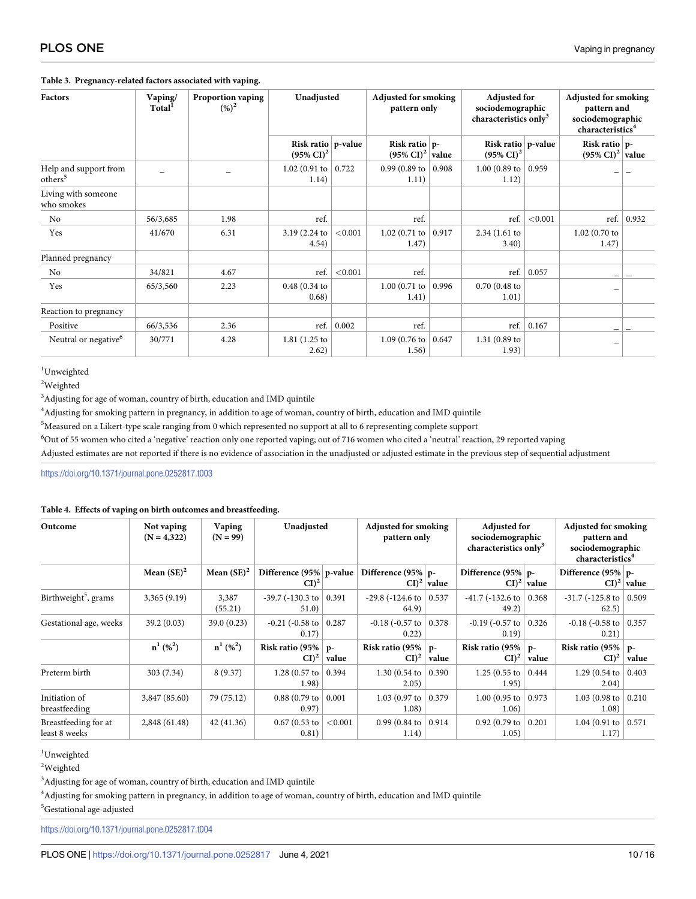<span id="page-9-0"></span>

| Factors                                      | Vaping/<br>Total <sup>1</sup> | <b>Proportion vaping</b><br>$(%)^2$ | Unadjusted                                     |         | <b>Adjusted for smoking</b><br>pattern only     |       | <b>Adjusted for</b><br>sociodemographic<br>characteristics only <sup>3</sup> |         | <b>Adjusted for smoking</b><br>pattern and<br>sociodemographic<br>characteristics <sup>4</sup> |       |
|----------------------------------------------|-------------------------------|-------------------------------------|------------------------------------------------|---------|-------------------------------------------------|-------|------------------------------------------------------------------------------|---------|------------------------------------------------------------------------------------------------|-------|
|                                              |                               |                                     | Risk ratio $p$ -value<br>$(95\% \text{ CI})^2$ |         | Risk ratio $p$ -<br>$(95\% \text{ CI})^2$ value |       | Risk ratio $p$ -value<br>$(95\% \text{ CI})^2$                               |         | Risk ratio $ p-$<br>$(95\% \text{ CI})^2$ value                                                |       |
| Help and support from<br>others <sup>5</sup> |                               |                                     | 1.02 (0.91 to<br>1.14)                         | 0.722   | 0.99 (0.89 to $\vert$ 0.908<br>1.11)            |       | 1.00 (0.89 to $\vert$ 0.959<br>1.12)                                         |         |                                                                                                |       |
| Living with someone<br>who smokes            |                               |                                     |                                                |         |                                                 |       |                                                                              |         |                                                                                                |       |
| No                                           | 56/3,685                      | 1.98                                | ref.                                           |         | ref.                                            |       | ref.                                                                         | < 0.001 | ref. $ $                                                                                       | 0.932 |
| Yes                                          | 41/670                        | 6.31                                | 3.19 (2.24 to<br>4.54)                         | < 0.001 | 1.02 (0.71 to $ $<br>1.47)                      | 0.917 | 2.34 (1.61 to<br>3.40)                                                       |         | $1.02(0.70)$ to<br>1.47)                                                                       |       |
| Planned pregnancy                            |                               |                                     |                                                |         |                                                 |       |                                                                              |         |                                                                                                |       |
| No                                           | 34/821                        | 4.67                                | ref.                                           | < 0.001 | ref.                                            |       | ref.                                                                         | 0.057   |                                                                                                |       |
| Yes                                          | 65/3,560                      | 2.23                                | 0.48(0.34)<br>0.68)                            |         | 1.00(0.71 to<br>1.41)                           | 0.996 | $0.70(0.48)$ to<br>1.01)                                                     |         |                                                                                                |       |
| Reaction to pregnancy                        |                               |                                     |                                                |         |                                                 |       |                                                                              |         |                                                                                                |       |
| Positive                                     | 66/3,536                      | 2.36                                | ref.                                           | 0.002   | ref.                                            |       | ref.                                                                         | 0.167   | -                                                                                              |       |
| Neutral or negative <sup>6</sup>             | 30/771                        | 4.28                                | $1.81(1.25)$ to<br>2.62)                       |         | 1.09(0.76)<br>1.56)                             | 0.647 | $1.31(0.89)$ to<br>1.93)                                                     |         | —                                                                                              |       |

<sup>1</sup>Unweighted

2 Weighted

<sup>3</sup>Adjusting for age of woman, country of birth, education and IMD quintile

4 Adjusting for smoking pattern in pregnancy, in addition to age of woman, country of birth, education and IMD quintile

5 Measured on a Likert-type scale ranging from 0 which represented no support at all to 6 representing complete support

<sup>6</sup>Out of 55 women who cited a 'negative' reaction only one reported vaping; out of 716 women who cited a 'neutral' reaction, 29 reported vaping

Adjusted estimates are not reported if there is no evidence of association in the unadjusted or adjusted estimate in the previous step of sequential adjustment

<https://doi.org/10.1371/journal.pone.0252817.t003>

#### **[Table](#page-8-0) 4. Effects of vaping on birth outcomes and breastfeeding.**

| Outcome                               | Not vaping<br>$(N = 4,322)$ | Vaping<br>$(N = 99)$      | Unadjusted                           |             | <b>Adjusted for smoking</b><br>pattern only |                         | <b>Adjusted for</b><br>sociodemographic<br>characteristics only <sup>3</sup> |                                            | <b>Adjusted for smoking</b><br>pattern and<br>sociodemographic<br>characteristics <sup>4</sup> |                         |
|---------------------------------------|-----------------------------|---------------------------|--------------------------------------|-------------|---------------------------------------------|-------------------------|------------------------------------------------------------------------------|--------------------------------------------|------------------------------------------------------------------------------------------------|-------------------------|
|                                       | Mean $(SE)^2$               | Mean $(SE)^2$             | Difference (95%   p-value<br>$CI)^2$ |             | Difference (95%   p-                        | $CI$ <sup>2</sup> value | Difference $(95\%$ p-                                                        | $\left  \text{CI} \right ^2 \text{ value}$ | Difference (95%   p-                                                                           | $CI$ <sup>2</sup> value |
| Birthweight <sup>5</sup> , grams      | 3,365(9.19)                 | 3,387<br>(55.21)          | $-39.7$ ( $-130.3$ to<br>51.0)       | 0.391       | $-29.8$ ( $-124.6$ to<br>64.9)              | 0.537                   | $-41.7$ ( $-132.6$ to   0.368<br>49.2)                                       |                                            | $-31.7$ ( $-125.8$ to  <br>62.5)                                                               | 0.509                   |
| Gestational age, weeks                | 39.2(0.03)                  | 39.0 (0.23)               | $-0.21$ ( $-0.58$ to<br>0.17)        | 0.287       | $-0.18$ ( $-0.57$ to<br>0.22)               | 0.378                   | $-0.19$ ( $-0.57$ to   0.326<br>0.19)                                        |                                            | $-0.18$ ( $-0.58$ to<br>0.21)                                                                  | 0.357                   |
|                                       | $n^{1}$ (% <sup>2</sup> )   | $n^{1}$ (% <sup>2</sup> ) | Risk ratio (95%<br>$CI)^2$           | p-<br>value | Risk ratio (95%<br>$CI)^2$                  | $p-$<br>value           | Risk ratio (95%<br>$CI)^2$                                                   | $p-$<br>value                              | Risk ratio (95%<br>$\mathbf{CI})^2$                                                            | $p-$<br>value           |
| Preterm birth                         | 303 (7.34)                  | 8(9.37)                   | $1.28(0.57)$ to<br>1.98)             | 0.394       | $1.30(0.54)$ to<br>2.05)                    | 0.390                   | 1.25 (0.55 to $ $<br>1.95)                                                   | 0.444                                      | 1.29 (0.54 to<br>2.04)                                                                         | 0.403                   |
| Initiation of<br>breastfeeding        | 3,847 (85.60)               | 79 (75.12)                | $0.88(0.79)$ to<br>0.97)             | 0.001       | 1.03 (0.97 to $ $<br>1.08)                  | 0.379                   | 1.00 (0.95 to $ $<br>1.06)                                                   | 0.973                                      | 1.03 (0.98 to $ $<br>1.08)                                                                     | 0.210                   |
| Breastfeeding for at<br>least 8 weeks | 2,848 (61.48)               | 42(41.36)                 | $0.67(0.53)$ to<br>0.81)             | < 0.001     | $0.99(0.84 \text{ to }$<br>1.14)            | 0.914                   | $0.92$ (0.79 to<br>1.05)                                                     | 0.201                                      | 1.04 (0.91 to $ $<br>1.17)                                                                     | 0.571                   |

<sup>1</sup>Unweighted

2 Weighted

<sup>3</sup>Adjusting for age of woman, country of birth, education and IMD quintile

4 Adjusting for smoking pattern in pregnancy, in addition to age of woman, country of birth, education and IMD quintile

<sup>5</sup>Gestational age-adjusted

<https://doi.org/10.1371/journal.pone.0252817.t004>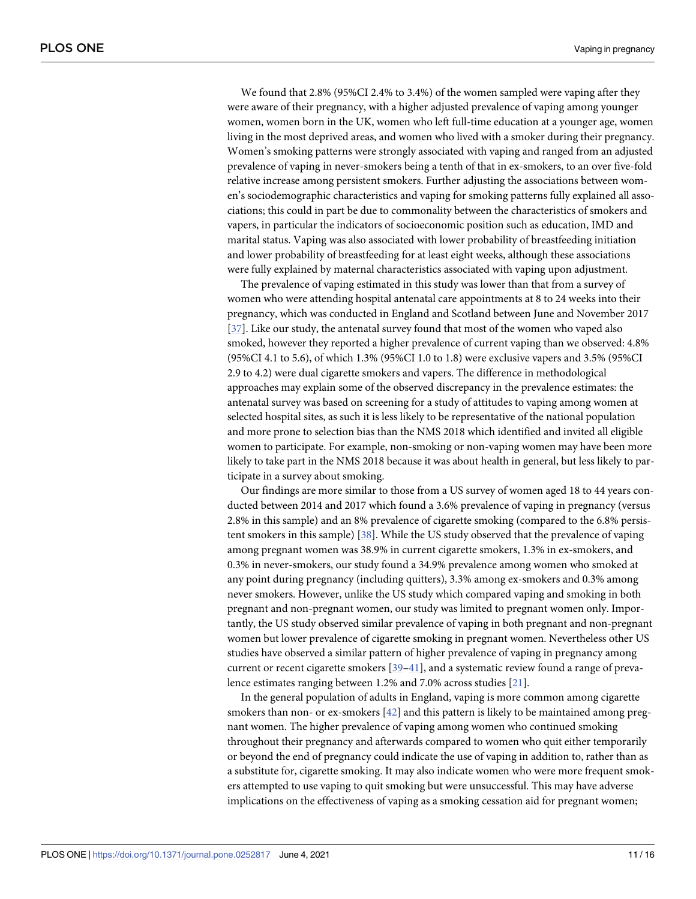<span id="page-10-0"></span>We found that 2.8% (95%CI 2.4% to 3.4%) of the women sampled were vaping after they were aware of their pregnancy, with a higher adjusted prevalence of vaping among younger women, women born in the UK, women who left full-time education at a younger age, women living in the most deprived areas, and women who lived with a smoker during their pregnancy. Women's smoking patterns were strongly associated with vaping and ranged from an adjusted prevalence of vaping in never-smokers being a tenth of that in ex-smokers, to an over five-fold relative increase among persistent smokers. Further adjusting the associations between women's sociodemographic characteristics and vaping for smoking patterns fully explained all associations; this could in part be due to commonality between the characteristics of smokers and vapers, in particular the indicators of socioeconomic position such as education, IMD and marital status. Vaping was also associated with lower probability of breastfeeding initiation and lower probability of breastfeeding for at least eight weeks, although these associations were fully explained by maternal characteristics associated with vaping upon adjustment.

The prevalence of vaping estimated in this study was lower than that from a survey of women who were attending hospital antenatal care appointments at 8 to 24 weeks into their pregnancy, which was conducted in England and Scotland between June and November 2017 [\[37\]](#page-14-0). Like our study, the antenatal survey found that most of the women who vaped also smoked, however they reported a higher prevalence of current vaping than we observed: 4.8% (95%CI 4.1 to 5.6), of which 1.3% (95%CI 1.0 to 1.8) were exclusive vapers and 3.5% (95%CI 2.9 to 4.2) were dual cigarette smokers and vapers. The difference in methodological approaches may explain some of the observed discrepancy in the prevalence estimates: the antenatal survey was based on screening for a study of attitudes to vaping among women at selected hospital sites, as such it is less likely to be representative of the national population and more prone to selection bias than the NMS 2018 which identified and invited all eligible women to participate. For example, non-smoking or non-vaping women may have been more likely to take part in the NMS 2018 because it was about health in general, but less likely to participate in a survey about smoking.

Our findings are more similar to those from a US survey of women aged 18 to 44 years conducted between 2014 and 2017 which found a 3.6% prevalence of vaping in pregnancy (versus 2.8% in this sample) and an 8% prevalence of cigarette smoking (compared to the 6.8% persistent smokers in this sample) [[38](#page-14-0)]. While the US study observed that the prevalence of vaping among pregnant women was 38.9% in current cigarette smokers, 1.3% in ex-smokers, and 0.3% in never-smokers, our study found a 34.9% prevalence among women who smoked at any point during pregnancy (including quitters), 3.3% among ex-smokers and 0.3% among never smokers. However, unlike the US study which compared vaping and smoking in both pregnant and non-pregnant women, our study was limited to pregnant women only. Importantly, the US study observed similar prevalence of vaping in both pregnant and non-pregnant women but lower prevalence of cigarette smoking in pregnant women. Nevertheless other US studies have observed a similar pattern of higher prevalence of vaping in pregnancy among current or recent cigarette smokers [\[39–41](#page-14-0)], and a systematic review found a range of prevalence estimates ranging between 1.2% and 7.0% across studies [[21](#page-13-0)].

In the general population of adults in England, vaping is more common among cigarette smokers than non- or ex-smokers [\[42\]](#page-14-0) and this pattern is likely to be maintained among pregnant women. The higher prevalence of vaping among women who continued smoking throughout their pregnancy and afterwards compared to women who quit either temporarily or beyond the end of pregnancy could indicate the use of vaping in addition to, rather than as a substitute for, cigarette smoking. It may also indicate women who were more frequent smokers attempted to use vaping to quit smoking but were unsuccessful. This may have adverse implications on the effectiveness of vaping as a smoking cessation aid for pregnant women;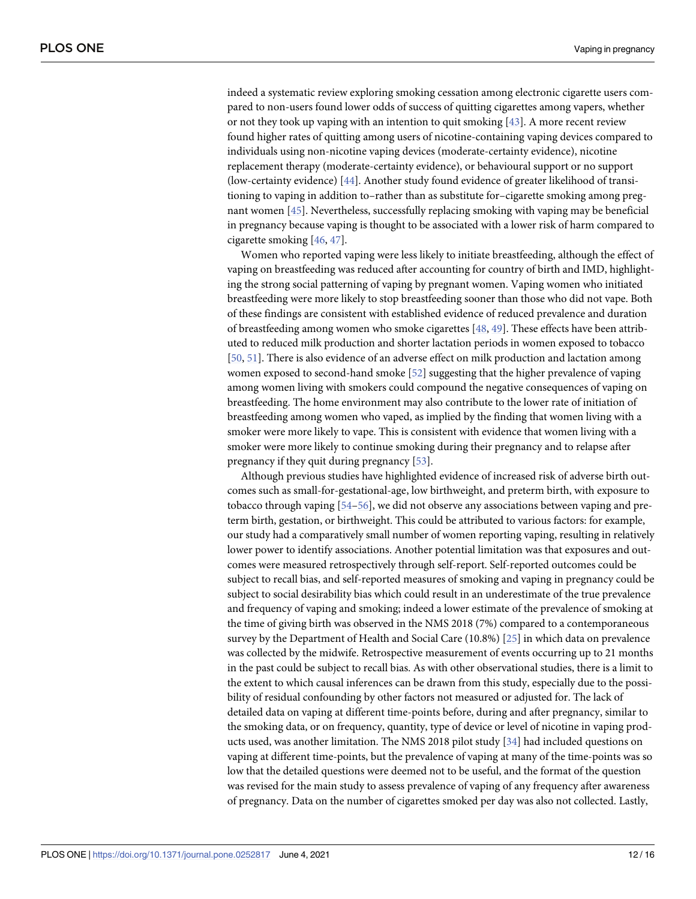<span id="page-11-0"></span>indeed a systematic review exploring smoking cessation among electronic cigarette users compared to non-users found lower odds of success of quitting cigarettes among vapers, whether or not they took up vaping with an intention to quit smoking [[43](#page-14-0)]. A more recent review found higher rates of quitting among users of nicotine-containing vaping devices compared to individuals using non-nicotine vaping devices (moderate-certainty evidence), nicotine replacement therapy (moderate-certainty evidence), or behavioural support or no support (low-certainty evidence) [[44](#page-14-0)]. Another study found evidence of greater likelihood of transitioning to vaping in addition to–rather than as substitute for–cigarette smoking among pregnant women [[45](#page-14-0)]. Nevertheless, successfully replacing smoking with vaping may be beneficial in pregnancy because vaping is thought to be associated with a lower risk of harm compared to cigarette smoking [\[46,](#page-15-0) [47\]](#page-15-0).

Women who reported vaping were less likely to initiate breastfeeding, although the effect of vaping on breastfeeding was reduced after accounting for country of birth and IMD, highlighting the strong social patterning of vaping by pregnant women. Vaping women who initiated breastfeeding were more likely to stop breastfeeding sooner than those who did not vape. Both of these findings are consistent with established evidence of reduced prevalence and duration of breastfeeding among women who smoke cigarettes [[48](#page-15-0), [49](#page-15-0)]. These effects have been attributed to reduced milk production and shorter lactation periods in women exposed to tobacco [\[50,](#page-15-0) [51\]](#page-15-0). There is also evidence of an adverse effect on milk production and lactation among women exposed to second-hand smoke [\[52\]](#page-15-0) suggesting that the higher prevalence of vaping among women living with smokers could compound the negative consequences of vaping on breastfeeding. The home environment may also contribute to the lower rate of initiation of breastfeeding among women who vaped, as implied by the finding that women living with a smoker were more likely to vape. This is consistent with evidence that women living with a smoker were more likely to continue smoking during their pregnancy and to relapse after pregnancy if they quit during pregnancy [\[53\]](#page-15-0).

Although previous studies have highlighted evidence of increased risk of adverse birth outcomes such as small-for-gestational-age, low birthweight, and preterm birth, with exposure to tobacco through vaping [\[54–56](#page-15-0)], we did not observe any associations between vaping and preterm birth, gestation, or birthweight. This could be attributed to various factors: for example, our study had a comparatively small number of women reporting vaping, resulting in relatively lower power to identify associations. Another potential limitation was that exposures and outcomes were measured retrospectively through self-report. Self-reported outcomes could be subject to recall bias, and self-reported measures of smoking and vaping in pregnancy could be subject to social desirability bias which could result in an underestimate of the true prevalence and frequency of vaping and smoking; indeed a lower estimate of the prevalence of smoking at the time of giving birth was observed in the NMS 2018 (7%) compared to a contemporaneous survey by the Department of Health and Social Care (10.8%) [[25](#page-14-0)] in which data on prevalence was collected by the midwife. Retrospective measurement of events occurring up to 21 months in the past could be subject to recall bias. As with other observational studies, there is a limit to the extent to which causal inferences can be drawn from this study, especially due to the possibility of residual confounding by other factors not measured or adjusted for. The lack of detailed data on vaping at different time-points before, during and after pregnancy, similar to the smoking data, or on frequency, quantity, type of device or level of nicotine in vaping products used, was another limitation. The NMS 2018 pilot study [[34](#page-14-0)] had included questions on vaping at different time-points, but the prevalence of vaping at many of the time-points was so low that the detailed questions were deemed not to be useful, and the format of the question was revised for the main study to assess prevalence of vaping of any frequency after awareness of pregnancy. Data on the number of cigarettes smoked per day was also not collected. Lastly,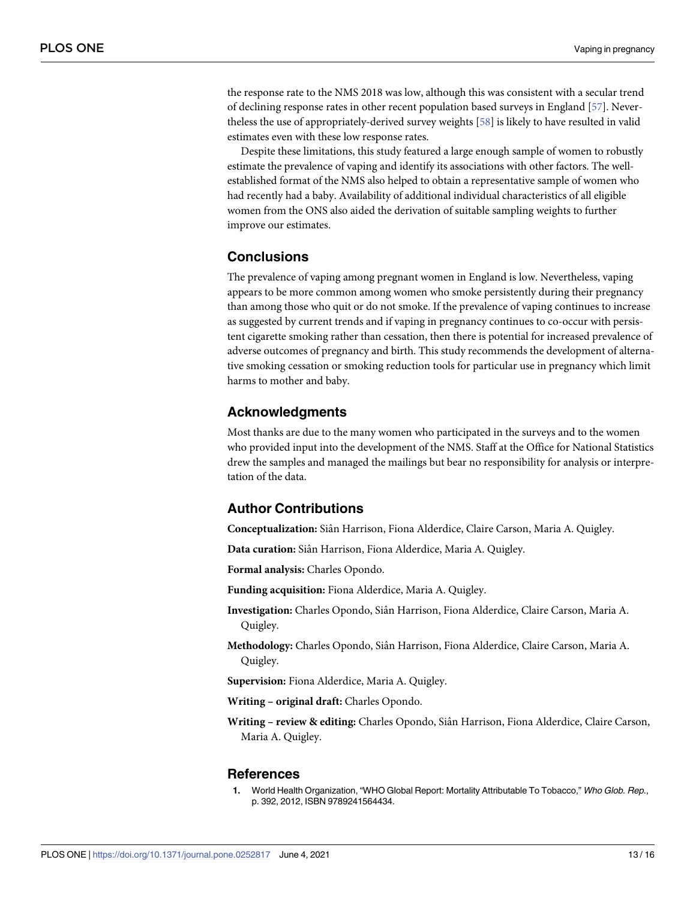<span id="page-12-0"></span>the response rate to the NMS 2018 was low, although this was consistent with a secular trend of declining response rates in other recent population based surveys in England [[57](#page-15-0)]. Nevertheless the use of appropriately-derived survey weights [\[58\]](#page-15-0) is likely to have resulted in valid estimates even with these low response rates.

Despite these limitations, this study featured a large enough sample of women to robustly estimate the prevalence of vaping and identify its associations with other factors. The wellestablished format of the NMS also helped to obtain a representative sample of women who had recently had a baby. Availability of additional individual characteristics of all eligible women from the ONS also aided the derivation of suitable sampling weights to further improve our estimates.

### **Conclusions**

The prevalence of vaping among pregnant women in England is low. Nevertheless, vaping appears to be more common among women who smoke persistently during their pregnancy than among those who quit or do not smoke. If the prevalence of vaping continues to increase as suggested by current trends and if vaping in pregnancy continues to co-occur with persistent cigarette smoking rather than cessation, then there is potential for increased prevalence of adverse outcomes of pregnancy and birth. This study recommends the development of alternative smoking cessation or smoking reduction tools for particular use in pregnancy which limit harms to mother and baby.

#### **Acknowledgments**

Most thanks are due to the many women who participated in the surveys and to the women who provided input into the development of the NMS. Staff at the Office for National Statistics drew the samples and managed the mailings but bear no responsibility for analysis or interpretation of the data.

#### **Author Contributions**

**Conceptualization:** Siaˆn Harrison, Fiona Alderdice, Claire Carson, Maria A. Quigley.

Data curation: Siân Harrison, Fiona Alderdice, Maria A. Quigley.

**Formal analysis:** Charles Opondo.

**Funding acquisition:** Fiona Alderdice, Maria A. Quigley.

Investigation: Charles Opondo, Siân Harrison, Fiona Alderdice, Claire Carson, Maria A. Quigley.

**Methodology:** Charles Opondo, Siaˆn Harrison, Fiona Alderdice, Claire Carson, Maria A. Quigley.

**Supervision:** Fiona Alderdice, Maria A. Quigley.

**Writing – original draft:** Charles Opondo.

**Writing – review & editing:** Charles Opondo, Siaˆn Harrison, Fiona Alderdice, Claire Carson, Maria A. Quigley.

#### **References**

**[1](#page-1-0).** World Health Organization, "WHO Global Report: Mortality Attributable To Tobacco," Who Glob. Rep., p. 392, 2012, ISBN 9789241564434.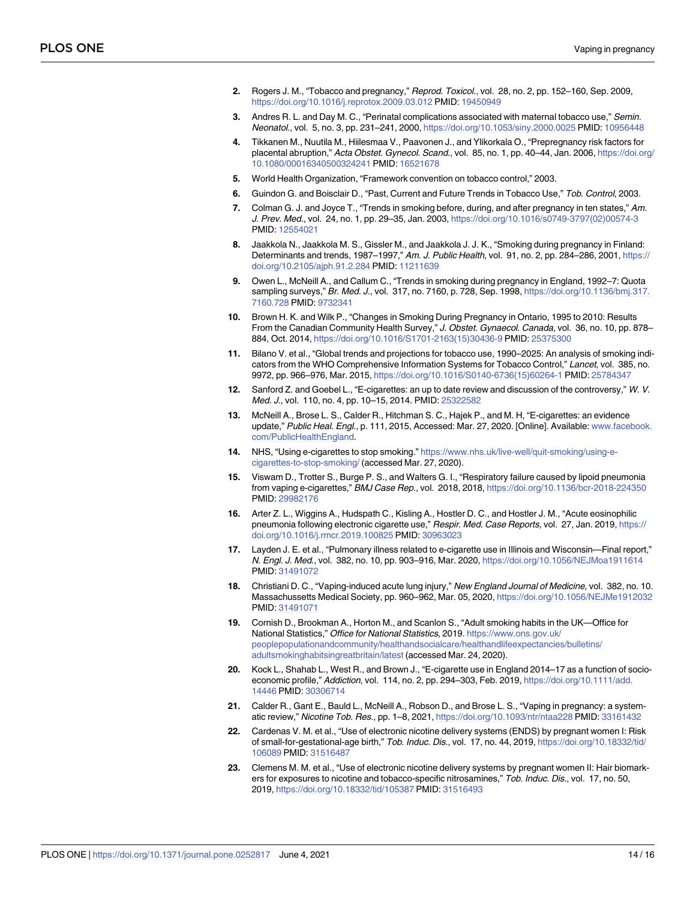- <span id="page-13-0"></span>**[2](#page-1-0).** Rogers J. M., "Tobacco and pregnancy," Reprod. Toxicol., vol. 28, no. 2, pp. 152–160, Sep. 2009, <https://doi.org/10.1016/j.reprotox.2009.03.012> PMID: [19450949](http://www.ncbi.nlm.nih.gov/pubmed/19450949)
- **3.** Andres R. L. and Day M. C., "Perinatal complications associated with maternal tobacco use," Semin. Neonatol., vol. 5, no. 3, pp. 231–241, 2000, <https://doi.org/10.1053/siny.2000.0025> PMID: [10956448](http://www.ncbi.nlm.nih.gov/pubmed/10956448)
- **[4](#page-1-0).** Tikkanen M., Nuutila M., Hiilesmaa V., Paavonen J., and Ylikorkala O., "Prepregnancy risk factors for placental abruption," Acta Obstet. Gynecol. Scand., vol. 85, no. 1, pp. 40–44, Jan. 2006, [https://doi.org/](https://doi.org/10.1080/00016340500324241) [10.1080/00016340500324241](https://doi.org/10.1080/00016340500324241) PMID: [16521678](http://www.ncbi.nlm.nih.gov/pubmed/16521678)
- **[5](#page-1-0).** World Health Organization, "Framework convention on tobacco control," 2003.
- **[6](#page-1-0).** Guindon G. and Boisclair D., "Past, Current and Future Trends in Tobacco Use," Tob. Control, 2003.
- **[7](#page-1-0).** Colman G. J. and Joyce T., "Trends in smoking before, during, and after pregnancy in ten states," Am. J. Prev. Med., vol. 24, no. 1, pp. 29–35, Jan. 2003, [https://doi.org/10.1016/s0749-3797\(02\)00574-3](https://doi.org/10.1016/s0749-3797%2802%2900574-3) PMID: [12554021](http://www.ncbi.nlm.nih.gov/pubmed/12554021)
- **8.** Jaakkola N., Jaakkola M. S., Gissler M., and Jaakkola J. J. K., "Smoking during pregnancy in Finland: Determinants and trends, 1987–1997," Am. J. Public Health, vol. 91, no. 2, pp. 284–286, 2001, [https://](https://doi.org/10.2105/ajph.91.2.284) [doi.org/10.2105/ajph.91.2.284](https://doi.org/10.2105/ajph.91.2.284) PMID: [11211639](http://www.ncbi.nlm.nih.gov/pubmed/11211639)
- **9.** Owen L., McNeill A., and Callum C., "Trends in smoking during pregnancy in England, 1992–7: Quota sampling surveys," Br. Med. J., vol. 317, no. 7160, p. 728, Sep. 1998, [https://doi.org/10.1136/bmj.317.](https://doi.org/10.1136/bmj.317.7160.728) [7160.728](https://doi.org/10.1136/bmj.317.7160.728) PMID: [9732341](http://www.ncbi.nlm.nih.gov/pubmed/9732341)
- **[10](#page-1-0).** Brown H. K. and Wilk P., "Changes in Smoking During Pregnancy in Ontario, 1995 to 2010: Results From the Canadian Community Health Survey," J. Obstet. Gynaecol. Canada, vol. 36, no. 10, pp. 878– 884, Oct. 2014, [https://doi.org/10.1016/S1701-2163\(15\)30436-9](https://doi.org/10.1016/S1701-2163%2815%2930436-9) PMID: [25375300](http://www.ncbi.nlm.nih.gov/pubmed/25375300)
- **[11](#page-1-0).** Bilano V. et al., "Global trends and projections for tobacco use, 1990–2025: An analysis of smoking indicators from the WHO Comprehensive Information Systems for Tobacco Control," Lancet, vol. 385, no. 9972, pp. 966–976, Mar. 2015, [https://doi.org/10.1016/S0140-6736\(15\)60264-1](https://doi.org/10.1016/S0140-6736%2815%2960264-1) PMID: [25784347](http://www.ncbi.nlm.nih.gov/pubmed/25784347)
- **[12](#page-1-0).** Sanford Z. and Goebel L., "E-cigarettes: an up to date review and discussion of the controversy," W. V. Med. J., vol. 110, no. 4, pp. 10–15, 2014. PMID: [25322582](http://www.ncbi.nlm.nih.gov/pubmed/25322582)
- **[13](#page-1-0).** McNeill A., Brose L. S., Calder R., Hitchman S. C., Hajek P., and M. H, "E-cigarettes: an evidence update," Public Heal. Engl., p. 111, 2015, Accessed: Mar. 27, 2020. [Online]. Available: [www.facebook.](http://www.facebook.com/PublicHealthEngland) [com/PublicHealthEngland](http://www.facebook.com/PublicHealthEngland).
- **[14](#page-1-0).** NHS, "Using e-cigarettes to stop smoking." [https://www.nhs.uk/live-well/quit-smoking/using-e](https://www.nhs.uk/live-well/quit-smoking/using-e-cigarettes-to-stop-smoking/)[cigarettes-to-stop-smoking/](https://www.nhs.uk/live-well/quit-smoking/using-e-cigarettes-to-stop-smoking/) (accessed Mar. 27, 2020).
- **[15](#page-1-0).** Viswam D., Trotter S., Burge P. S., and Walters G. I., "Respiratory failure caused by lipoid pneumonia from vaping e-cigarettes," BMJ Case Rep., vol. 2018, 2018, <https://doi.org/10.1136/bcr-2018-224350> PMID: [29982176](http://www.ncbi.nlm.nih.gov/pubmed/29982176)
- **16.** Arter Z. L., Wiggins A., Hudspath C., Kisling A., Hostler D. C., and Hostler J. M., "Acute eosinophilic pneumonia following electronic cigarette use," Respir. Med. Case Reports, vol. 27, Jan. 2019, [https://](https://doi.org/10.1016/j.rmcr.2019.100825) [doi.org/10.1016/j.rmcr.2019.100825](https://doi.org/10.1016/j.rmcr.2019.100825) PMID: [30963023](http://www.ncbi.nlm.nih.gov/pubmed/30963023)
- **17.** Layden J. E. et al., "Pulmonary illness related to e-cigarette use in Illinois and Wisconsin—Final report," N. Engl. J. Med., vol. 382, no. 10, pp. 903–916, Mar. 2020, <https://doi.org/10.1056/NEJMoa1911614> PMID: [31491072](http://www.ncbi.nlm.nih.gov/pubmed/31491072)
- **[18](#page-1-0).** Christiani D. C., "Vaping-induced acute lung injury," New England Journal of Medicine, vol. 382, no. 10. Massachussetts Medical Society, pp. 960–962, Mar. 05, 2020, <https://doi.org/10.1056/NEJMe1912032> PMID: [31491071](http://www.ncbi.nlm.nih.gov/pubmed/31491071)
- **[19](#page-1-0).** Cornish D., Brookman A., Horton M., and Scanlon S., "Adult smoking habits in the UK—Office for National Statistics," Office for National Statistics, 2019. [https://www.ons.gov.uk/](https://www.ons.gov.uk/peoplepopulationandcommunity/healthandsocialcare/healthandlifeexpectancies/bulletins/adultsmokinghabitsingreatbritain/latest) [peoplepopulationandcommunity/healthandsocialcare/healthandlifeexpectancies/bulletins/](https://www.ons.gov.uk/peoplepopulationandcommunity/healthandsocialcare/healthandlifeexpectancies/bulletins/adultsmokinghabitsingreatbritain/latest) [adultsmokinghabitsingreatbritain/latest](https://www.ons.gov.uk/peoplepopulationandcommunity/healthandsocialcare/healthandlifeexpectancies/bulletins/adultsmokinghabitsingreatbritain/latest) (accessed Mar. 24, 2020).
- **[20](#page-1-0).** Kock L., Shahab L., West R., and Brown J., "E-cigarette use in England 2014–17 as a function of socioeconomic profile," Addiction, vol. 114, no. 2, pp. 294-303, Feb. 2019, [https://doi.org/10.1111/add.](https://doi.org/10.1111/add.14446) [14446](https://doi.org/10.1111/add.14446) PMID: [30306714](http://www.ncbi.nlm.nih.gov/pubmed/30306714)
- **[21](#page-2-0).** Calder R., Gant E., Bauld L., McNeill A., Robson D., and Brose L. S., "Vaping in pregnancy: a systematic review," Nicotine Tob. Res., pp. 1–8, 2021, <https://doi.org/10.1093/ntr/ntaa228> PMID: [33161432](http://www.ncbi.nlm.nih.gov/pubmed/33161432)
- **[22](#page-2-0).** Cardenas V. M. et al., "Use of electronic nicotine delivery systems (ENDS) by pregnant women I: Risk of small-for-gestational-age birth," Tob. Induc. Dis., vol. 17, no. 44, 2019, [https://doi.org/10.18332/tid/](https://doi.org/10.18332/tid/106089) [106089](https://doi.org/10.18332/tid/106089) PMID: [31516487](http://www.ncbi.nlm.nih.gov/pubmed/31516487)
- **[23](#page-2-0).** Clemens M. M. et al., "Use of electronic nicotine delivery systems by pregnant women II: Hair biomarkers for exposures to nicotine and tobacco-specific nitrosamines," Tob. Induc. Dis., vol. 17, no. 50, 2019, <https://doi.org/10.18332/tid/105387> PMID: [31516493](http://www.ncbi.nlm.nih.gov/pubmed/31516493)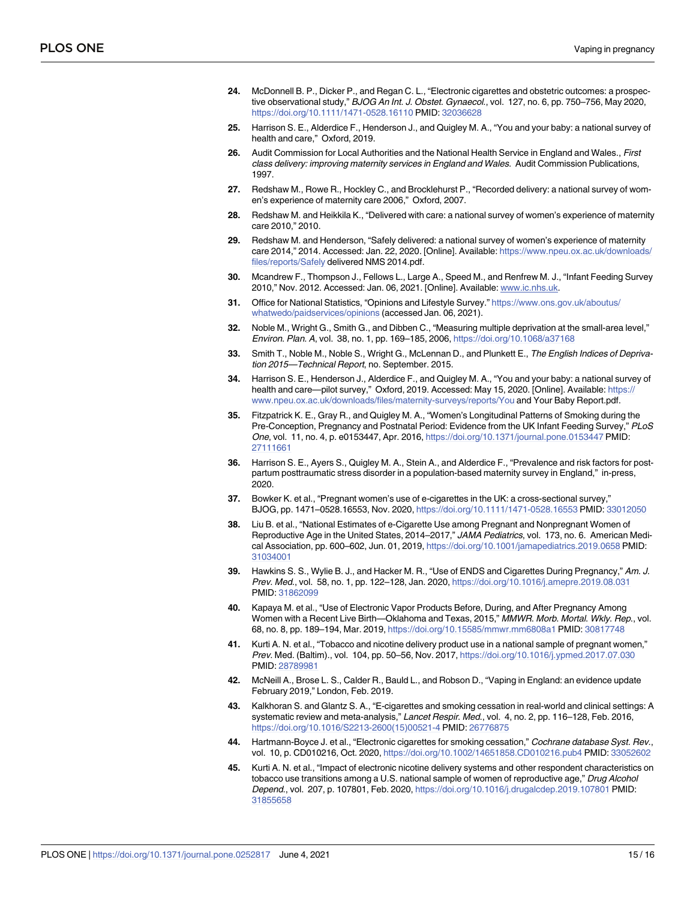- <span id="page-14-0"></span>**[24](#page-2-0).** McDonnell B. P., Dicker P., and Regan C. L., "Electronic cigarettes and obstetric outcomes: a prospective observational study," BJOG An Int. J. Obstet. Gynaecol., vol. 127, no. 6, pp. 750–756, May 2020, <https://doi.org/10.1111/1471-0528.16110> PMID: [32036628](http://www.ncbi.nlm.nih.gov/pubmed/32036628)
- **[25](#page-2-0).** Harrison S. E., Alderdice F., Henderson J., and Quigley M. A., "You and your baby: a national survey of health and care," Oxford, 2019.
- **[26](#page-2-0).** Audit Commission for Local Authorities and the National Health Service in England and Wales., First class delivery: improving maternity services in England and Wales. Audit Commission Publications, 1997.
- **27.** Redshaw M., Rowe R., Hockley C., and Brocklehurst P., "Recorded delivery: a national survey of women's experience of maternity care 2006," Oxford, 2007.
- **28.** Redshaw M. and Heikkila K., "Delivered with care: a national survey of women's experience of maternity care 2010," 2010.
- **[29](#page-2-0).** Redshaw M. and Henderson, "Safely delivered: a national survey of women's experience of maternity care 2014," 2014. Accessed: Jan. 22, 2020. [Online]. Available: [https://www.npeu.ox.ac.uk/downloads/](https://www.npeu.ox.ac.uk/downloads/files/reports/Safely) [files/reports/Safely](https://www.npeu.ox.ac.uk/downloads/files/reports/Safely) delivered NMS 2014.pdf.
- **[30](#page-3-0).** Mcandrew F., Thompson J., Fellows L., Large A., Speed M., and Renfrew M. J., "Infant Feeding Survey 2010," Nov. 2012. Accessed: Jan. 06, 2021. [Online]. Available: [www.ic.nhs.uk.](http://www.ic.nhs.uk)
- **[31](#page-3-0).** Office for National Statistics, "Opinions and Lifestyle Survey." [https://www.ons.gov.uk/aboutus/](https://www.ons.gov.uk/aboutus/whatwedo/paidservices/opinions) [whatwedo/paidservices/opinions](https://www.ons.gov.uk/aboutus/whatwedo/paidservices/opinions) (accessed Jan. 06, 2021).
- **[32](#page-3-0).** Noble M., Wright G., Smith G., and Dibben C., "Measuring multiple deprivation at the small-area level," Environ. Plan. A, vol. 38, no. 1, pp. 169–185, 2006, <https://doi.org/10.1068/a37168>
- **[33](#page-3-0).** Smith T., Noble M., Noble S., Wright G., McLennan D., and Plunkett E., The English Indices of Deprivation 2015—Technical Report, no. September. 2015.
- **[34](#page-4-0).** Harrison S. E., Henderson J., Alderdice F., and Quigley M. A., "You and your baby: a national survey of health and care—pilot survey," Oxford, 2019. Accessed: May 15, 2020. [Online]. Available: [https://](https://www.npeu.ox.ac.uk/downloads/files/maternity-surveys/reports/You) [www.npeu.ox.ac.uk/downloads/files/maternity-surveys/reports/You](https://www.npeu.ox.ac.uk/downloads/files/maternity-surveys/reports/You) and Your Baby Report.pdf.
- **[35](#page-4-0).** Fitzpatrick K. E., Gray R., and Quigley M. A., "Women's Longitudinal Patterns of Smoking during the Pre-Conception, Pregnancy and Postnatal Period: Evidence from the UK Infant Feeding Survey," PLoS One, vol. 11, no. 4, p. e0153447, Apr. 2016, <https://doi.org/10.1371/journal.pone.0153447> PMID: [27111661](http://www.ncbi.nlm.nih.gov/pubmed/27111661)
- **[36](#page-4-0).** Harrison S. E., Ayers S., Quigley M. A., Stein A., and Alderdice F., "Prevalence and risk factors for postpartum posttraumatic stress disorder in a population-based maternity survey in England," in-press, 2020.
- **[37](#page-10-0).** Bowker K. et al., "Pregnant women's use of e-cigarettes in the UK: a cross-sectional survey," BJOG, pp. 1471–0528.16553, Nov. 2020, <https://doi.org/10.1111/1471-0528.16553> PMID: [33012050](http://www.ncbi.nlm.nih.gov/pubmed/33012050)
- **[38](#page-10-0).** Liu B. et al., "National Estimates of e-Cigarette Use among Pregnant and Nonpregnant Women of Reproductive Age in the United States, 2014–2017," JAMA Pediatrics, vol. 173, no. 6. American Medical Association, pp. 600–602, Jun. 01, 2019, <https://doi.org/10.1001/jamapediatrics.2019.0658> PMID: [31034001](http://www.ncbi.nlm.nih.gov/pubmed/31034001)
- **[39](#page-10-0).** Hawkins S. S., Wylie B. J., and Hacker M. R., "Use of ENDS and Cigarettes During Pregnancy," Am. J. Prev. Med., vol. 58, no. 1, pp. 122–128, Jan. 2020, <https://doi.org/10.1016/j.amepre.2019.08.031> PMID: [31862099](http://www.ncbi.nlm.nih.gov/pubmed/31862099)
- **40.** Kapaya M. et al., "Use of Electronic Vapor Products Before, During, and After Pregnancy Among Women with a Recent Live Birth—Oklahoma and Texas, 2015," MMWR. Morb. Mortal. Wkly. Rep., vol. 68, no. 8, pp. 189–194, Mar. 2019, <https://doi.org/10.15585/mmwr.mm6808a1> PMID: [30817748](http://www.ncbi.nlm.nih.gov/pubmed/30817748)
- **[41](#page-10-0).** Kurti A. N. et al., "Tobacco and nicotine delivery product use in a national sample of pregnant women," Prev. Med. (Baltim)., vol. 104, pp. 50–56, Nov. 2017, <https://doi.org/10.1016/j.ypmed.2017.07.030> PMID: [28789981](http://www.ncbi.nlm.nih.gov/pubmed/28789981)
- **[42](#page-10-0).** McNeill A., Brose L. S., Calder R., Bauld L., and Robson D., "Vaping in England: an evidence update February 2019," London, Feb. 2019.
- **[43](#page-11-0).** Kalkhoran S. and Glantz S. A., "E-cigarettes and smoking cessation in real-world and clinical settings: A systematic review and meta-analysis," Lancet Respir. Med., vol. 4, no. 2, pp. 116–128, Feb. 2016, [https://doi.org/10.1016/S2213-2600\(15\)00521-4](https://doi.org/10.1016/S2213-2600%2815%2900521-4) PMID: [26776875](http://www.ncbi.nlm.nih.gov/pubmed/26776875)
- **[44](#page-11-0).** Hartmann-Boyce J. et al., "Electronic cigarettes for smoking cessation," Cochrane database Syst. Rev., vol. 10, p. CD010216, Oct. 2020, <https://doi.org/10.1002/14651858.CD010216.pub4> PMID: [33052602](http://www.ncbi.nlm.nih.gov/pubmed/33052602)
- **[45](#page-11-0).** Kurti A. N. et al., "Impact of electronic nicotine delivery systems and other respondent characteristics on tobacco use transitions among a U.S. national sample of women of reproductive age," Drug Alcohol Depend., vol. 207, p. 107801, Feb. 2020, <https://doi.org/10.1016/j.drugalcdep.2019.107801> PMID: [31855658](http://www.ncbi.nlm.nih.gov/pubmed/31855658)